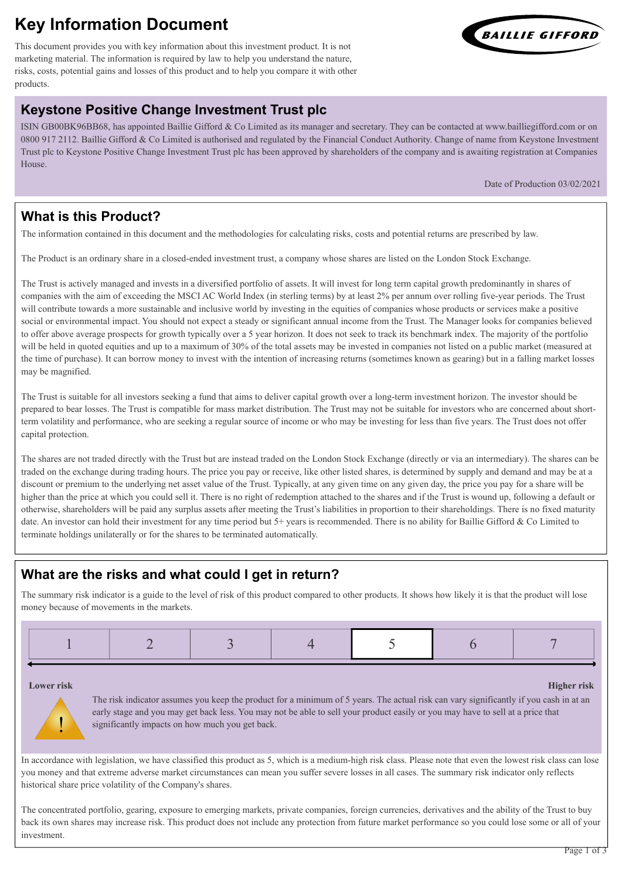# **Key Information Document**

This document provides you with key information about this investment product. It is not marketing material. The information is required by law to help you understand the nature, risks, costs, potential gains and losses of this product and to help you compare it with other products.

## **Keystone Positive Change Investment Trust plc**

ISIN GB00BK96BB68, has appointed Baillie Gifford & Co Limited as its manager and secretary. They can be contacted at www.bailliegifford.com or on 0800 917 2112. Baillie Gifford & Co Limited is authorised and regulated by the Financial Conduct Authority. Change of name from Keystone Investment Trust plc to Keystone Positive Change Investment Trust plc has been approved by shareholders of the company and is awaiting registration at Companies House.

Date of Production 03/02/2021

## **What is this Product?**

The information contained in this document and the methodologies for calculating risks, costs and potential returns are prescribed by law.

The Product is an ordinary share in a closed-ended investment trust, a company whose shares are listed on the London Stock Exchange.

The Trust is actively managed and invests in a diversified portfolio of assets. It will invest for long term capital growth predominantly in shares of companies with the aim of exceeding the MSCI AC World Index (in sterling terms) by at least 2% per annum over rolling five-year periods. The Trust will contribute towards a more sustainable and inclusive world by investing in the equities of companies whose products or services make a positive social or environmental impact. You should not expect a steady or significant annual income from the Trust. The Manager looks for companies believed to offer above average prospects for growth typically over a 5 year horizon. It does not seek to track its benchmark index. The majority of the portfolio will be held in quoted equities and up to a maximum of 30% of the total assets may be invested in companies not listed on a public market (measured at the time of purchase). It can borrow money to invest with the intention of increasing returns (sometimes known as gearing) but in a falling market losses may be magnified.

The Trust is suitable for all investors seeking a fund that aims to deliver capital growth over a long-term investment horizon. The investor should be prepared to bear losses. The Trust is compatible for mass market distribution. The Trust may not be suitable for investors who are concerned about shortterm volatility and performance, who are seeking a regular source of income or who may be investing for less than five years. The Trust does not offer capital protection.

The shares are not traded directly with the Trust but are instead traded on the London Stock Exchange (directly or via an intermediary). The shares can be traded on the exchange during trading hours. The price you pay or receive, like other listed shares, is determined by supply and demand and may be at a discount or premium to the underlying net asset value of the Trust. Typically, at any given time on any given day, the price you pay for a share will be higher than the price at which you could sell it. There is no right of redemption attached to the shares and if the Trust is wound up, following a default or otherwise, shareholders will be paid any surplus assets after meeting the Trust's liabilities in proportion to their shareholdings. There is no fixed maturity date. An investor can hold their investment for any time period but 5+ years is recommended. There is no ability for Baillie Gifford & Co Limited to terminate holdings unilaterally or for the shares to be terminated automatically.

## **What are the risks and what could I get in return?**

The summary risk indicator is a guide to the level of risk of this product compared to other products. It shows how likely it is that the product will lose money because of movements in the markets.

**Lower risk Higher risk**

!

The risk indicator assumes you keep the product for a minimum of 5 years. The actual risk can vary significantly if you cash in at an early stage and you may get back less. You may not be able to sell your product easily or you may have to sell at a price that significantly impacts on how much you get back.

In accordance with legislation, we have classified this product as 5, which is a medium-high risk class. Please note that even the lowest risk class can lose you money and that extreme adverse market circumstances can mean you suffer severe losses in all cases. The summary risk indicator only reflects historical share price volatility of the Company's shares.

The concentrated portfolio, gearing, exposure to emerging markets, private companies, foreign currencies, derivatives and the ability of the Trust to buy back its own shares may increase risk. This product does not include any protection from future market performance so you could lose some or all of your investment.

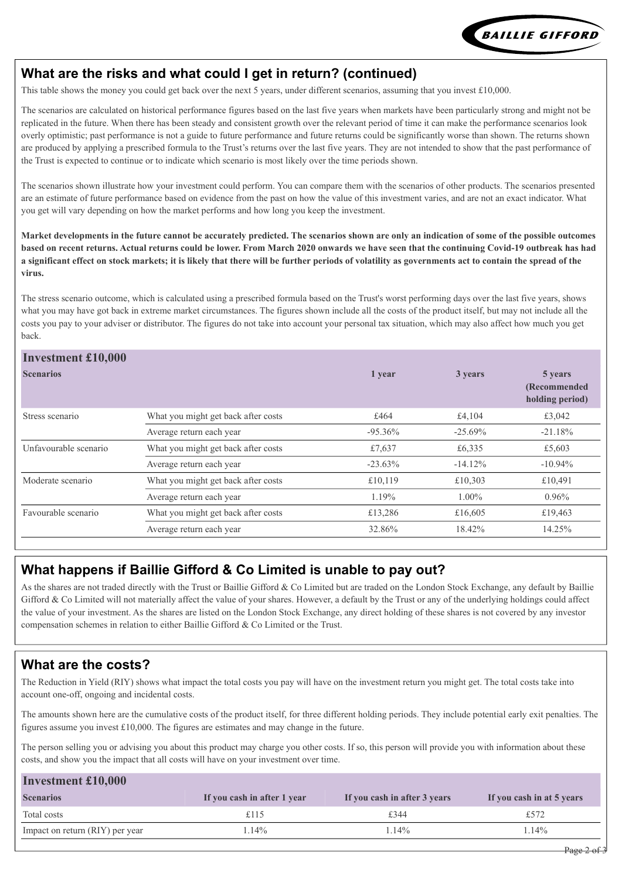

## **What are the risks and what could I get in return? (continued)**

This table shows the money you could get back over the next 5 years, under different scenarios, assuming that you invest £10,000.

The scenarios are calculated on historical performance figures based on the last five years when markets have been particularly strong and might not be replicated in the future. When there has been steady and consistent growth over the relevant period of time it can make the performance scenarios look overly optimistic; past performance is not a guide to future performance and future returns could be significantly worse than shown. The returns shown are produced by applying a prescribed formula to the Trust's returns over the last five years. They are not intended to show that the past performance of the Trust is expected to continue or to indicate which scenario is most likely over the time periods shown.

The scenarios shown illustrate how your investment could perform. You can compare them with the scenarios of other products. The scenarios presented are an estimate of future performance based on evidence from the past on how the value of this investment varies, and are not an exact indicator. What you get will vary depending on how the market performs and how long you keep the investment.

**Market developments in the future cannot be accurately predicted. The scenarios shown are only an indication of some of the possible outcomes based on recent returns. Actual returns could be lower. From March 2020 onwards we have seen that the continuing Covid-19 outbreak has had a significant effect on stock markets; it is likely that there will be further periods of volatility as governments act to contain the spread of the virus.**

The stress scenario outcome, which is calculated using a prescribed formula based on the Trust's worst performing days over the last five years, shows what you may have got back in extreme market circumstances. The figures shown include all the costs of the product itself, but may not include all the costs you pay to your adviser or distributor. The figures do not take into account your personal tax situation, which may also affect how much you get back.

#### **Investment £10,000**

| THYCSUMCHU & LU,UUU   |                                     |           |           |                                             |
|-----------------------|-------------------------------------|-----------|-----------|---------------------------------------------|
| <b>Scenarios</b>      |                                     | 1 year    | 3 years   | 5 years<br>(Recommended)<br>holding period) |
| Stress scenario       | What you might get back after costs | £464      | £4,104    | £3,042                                      |
|                       | Average return each year            | $-95.36%$ | $-25.69%$ | $-21.18%$                                   |
| Unfavourable scenario | What you might get back after costs | £7,637    | £6,335    | £5,603                                      |
|                       | Average return each year            | $-23.63%$ | $-14.12%$ | $-10.94\%$                                  |
| Moderate scenario     | What you might get back after costs | £10,119   | £10,303   | £10,491                                     |
|                       | Average return each year            | 1.19%     | $1.00\%$  | 0.96%                                       |
| Favourable scenario   | What you might get back after costs | £13,286   | £16,605   | £19,463                                     |
|                       | Average return each year            | 32.86%    | 18.42%    | 14.25%                                      |
|                       |                                     |           |           |                                             |

### **What happens if Baillie Gifford & Co Limited is unable to pay out?**

As the shares are not traded directly with the Trust or Baillie Gifford & Co Limited but are traded on the London Stock Exchange, any default by Baillie Gifford & Co Limited will not materially affect the value of your shares. However, a default by the Trust or any of the underlying holdings could affect the value of your investment. As the shares are listed on the London Stock Exchange, any direct holding of these shares is not covered by any investor compensation schemes in relation to either Baillie Gifford & Co Limited or the Trust.

#### **What are the costs?**

The Reduction in Yield (RIY) shows what impact the total costs you pay will have on the investment return you might get. The total costs take into account one-off, ongoing and incidental costs.

The amounts shown here are the cumulative costs of the product itself, for three different holding periods. They include potential early exit penalties. The figures assume you invest  $£10,000$ . The figures are estimates and may change in the future.

The person selling you or advising you about this product may charge you other costs. If so, this person will provide you with information about these costs, and show you the impact that all costs will have on your investment over time.

| <b>Investment £10,000</b>       |                             |                              |                           |  |  |  |
|---------------------------------|-----------------------------|------------------------------|---------------------------|--|--|--|
| <b>Scenarios</b>                | If you cash in after 1 year | If you cash in after 3 years | If you cash in at 5 years |  |  |  |
| Total costs                     | £115                        | £344                         | £572                      |  |  |  |
| Impact on return (RIY) per year | .14%                        | $.14\%$                      | $.14\%$                   |  |  |  |
|                                 |                             |                              |                           |  |  |  |